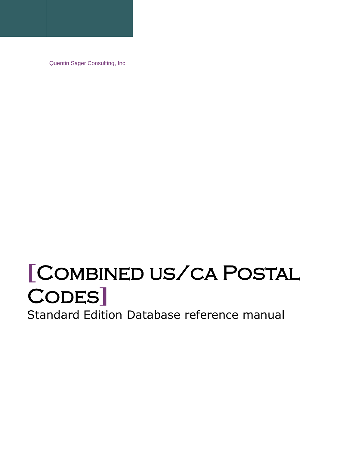Quentin Sager Consulting, Inc.

# **[**Combined us/ca Postal Codes**]**

Standard Edition Database reference manual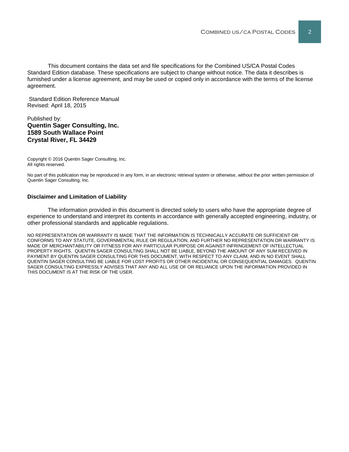This document contains the data set and file specifications for the Combined US/CA Postal Codes Standard Edition database. These specifications are subject to change without notice. The data it describes is furnished under a license agreement, and may be used or copied only in accordance with the terms of the license agreement.

Standard Edition Reference Manual Revised: April 18, 2015

#### Published by: **Quentin Sager Consulting, Inc. 1589 South Wallace Point Crystal River, FL 34429**

Copyright © 2016 Quentin Sager Consulting, Inc. All rights reserved.

No part of this publication may be reproduced in any form, in an electronic retrieval system or otherwise, without the prior written permission of Quentin Sager Consulting, Inc.

#### **Disclaimer and Limitation of Liability**

The information provided in this document is directed solely to users who have the appropriate degree of experience to understand and interpret its contents in accordance with generally accepted engineering, industry, or other professional standards and applicable regulations.

NO REPRESENTATION OR WARRANTY IS MADE THAT THE INFORMATION IS TECHNICALLY ACCURATE OR SUFFICIENT OR CONFORMS TO ANY STATUTE, GOVERNMENTAL RULE OR REGULATION, AND FURTHER NO REPRESENTATION OR WARRANTY IS MADE OF MERCHANTABILITY OR FITNESS FOR ANY PARTICULAR PURPOSE OR AGAINST INFRINGEMENT OF INTELLECTUAL PROPERTY RIGHTS. QUENTIN SAGER CONSULTING SHALL NOT BE LIABLE, BEYOND THE AMOUNT OF ANY SUM RECEIVED IN PAYMENT BY QUENTIN SAGER CONSULTING FOR THIS DOCUMENT, WITH RESPECT TO ANY CLAIM, AND IN NO EVENT SHALL QUENTIN SAGER CONSULTING BE LIABLE FOR LOST PROFITS OR OTHER INCIDENTAL OR CONSEQUENTIAL DAMAGES. QUENTIN SAGER CONSULTING EXPRESSLY ADVISES THAT ANY AND ALL USE OF OR RELIANCE UPON THE INFORMATION PROVIDED IN THIS DOCUMENT IS AT THE RISK OF THE USER.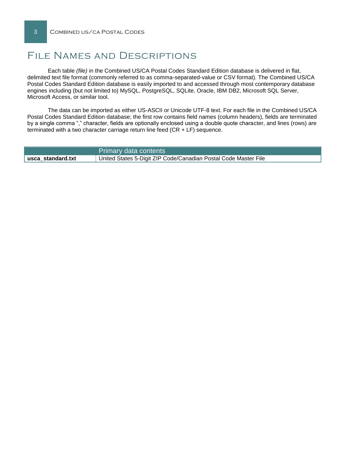# File Names and Descriptions

Each table *(file)* in the Combined US/CA Postal Codes Standard Edition database is delivered in flat, delimited text file format (commonly referred to as comma-separated-value or CSV format). The Combined US/CA Postal Codes Standard Edition database is easily imported to and accessed through most contemporary database engines including (but not limited to) MySQL, PostgreSQL, SQLite, Oracle, IBM DB2, Microsoft SQL Server, Microsoft Access, or similar tool.

The data can be imported as either US-ASCII or Unicode UTF-8 text. For each file in the Combined US/CA Postal Codes Standard Edition database; the first row contains field names (column headers), fields are terminated by a single comma "," character, fields are optionally enclosed using a double quote character, and lines (rows) are terminated with a two character carriage return line feed (CR + LF) sequence.

|                   | Primary data contents                                           |
|-------------------|-----------------------------------------------------------------|
| usca standard.txt | United States 5-Digit ZIP Code/Canadian Postal Code Master File |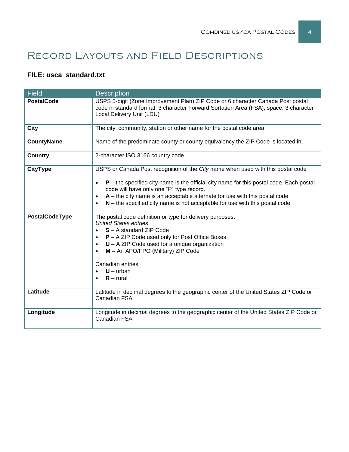# Record Layouts and Field Descriptions

### **FILE: usca\_standard.txt**

| <b>Field</b>      | <b>Description</b>                                                                                                                                                                                                                                                                                                                                                                                      |
|-------------------|---------------------------------------------------------------------------------------------------------------------------------------------------------------------------------------------------------------------------------------------------------------------------------------------------------------------------------------------------------------------------------------------------------|
| <b>PostalCode</b> | USPS 5-digit (Zone Improvement Plan) ZIP Code or 6 character Canada Post postal<br>code in standard format; 3 character Forward Sortation Area (FSA), space, 3 character<br>Local Delivery Unit (LDU)                                                                                                                                                                                                   |
| City              | The city, community, station or other name for the postal code area.                                                                                                                                                                                                                                                                                                                                    |
| <b>CountyName</b> | Name of the predominate county or county equivalency the ZIP Code is located in.                                                                                                                                                                                                                                                                                                                        |
| <b>Country</b>    | 2-character ISO 3166 country code                                                                                                                                                                                                                                                                                                                                                                       |
| <b>CityType</b>   | USPS or Canada Post recognition of the City name when used with this postal code<br>$P$ – the specified city name is the official city name for this postal code. Each postal<br>code will have only one "P" type record.<br>$A$ – the city name is an acceptable alternate for use with this postal code<br>$\bullet$<br>$N$ – the specified city name is not acceptable for use with this postal code |
| PostalCodeType    | The postal code definition or type for delivery purposes.<br><b>United States entries</b><br>S - A standard ZIP Code<br>P - A ZIP Code used only for Post Office Boxes<br>$\bullet$<br>$U - A ZIP$ Code used for a unique organization<br>$\bullet$<br>M - An APO/FPO (Military) ZIP Code<br>Canadian entries<br>$U - urban$<br>$R$ – rural                                                             |
| Latitude          | Latitude in decimal degrees to the geographic center of the United States ZIP Code or<br>Canadian FSA                                                                                                                                                                                                                                                                                                   |
| Longitude         | Longitude in decimal degrees to the geographic center of the United States ZIP Code or<br>Canadian FSA                                                                                                                                                                                                                                                                                                  |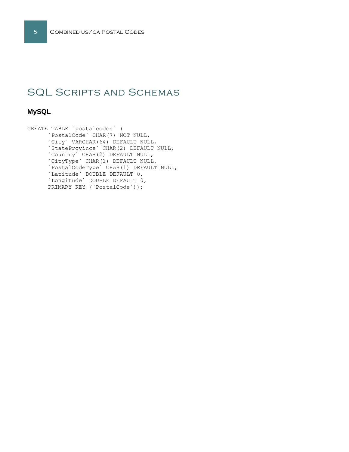# SQL Scripts and Schemas

### **MySQL**

CREATE TABLE `postalcodes` ( `PostalCode` CHAR(7) NOT NULL, `City` VARCHAR(64) DEFAULT NULL, `StateProvince` CHAR(2) DEFAULT NULL, `Country` CHAR(2) DEFAULT NULL, `CityType` CHAR(1) DEFAULT NULL, `PostalCodeType` CHAR(1) DEFAULT NULL, `Latitude` DOUBLE DEFAULT 0, `Longitude` DOUBLE DEFAULT 0, PRIMARY KEY (`PostalCode`));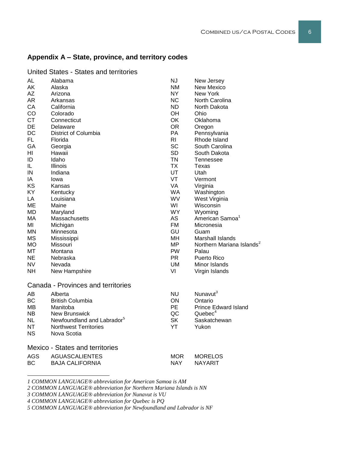#### **Appendix A – State, province, and territory codes**

| AL         | Alabama                                | <b>NJ</b>  | New Jersey                            |
|------------|----------------------------------------|------------|---------------------------------------|
| AK         | Alaska                                 | <b>NM</b>  | New Mexico                            |
| AZ         | Arizona                                | <b>NY</b>  | <b>New York</b>                       |
| AR         | Arkansas                               | NC         | North Carolina                        |
| CA         | California                             | <b>ND</b>  | North Dakota                          |
| CO         | Colorado                               | OH         | Ohio                                  |
| CT         | Connecticut                            | OK         | Oklahoma                              |
| DE         | Delaware                               | <b>OR</b>  | Oregon                                |
| DC         | District of Columbia                   | PA         | Pennsylvania                          |
| FL.        | Florida                                | <b>RI</b>  | Rhode Island                          |
| GA         | Georgia                                | <b>SC</b>  | South Carolina                        |
| ΗI         | Hawaii                                 | <b>SD</b>  | South Dakota                          |
| ID         | Idaho                                  | <b>TN</b>  | Tennessee                             |
| IL         | <b>Illinois</b>                        | <b>TX</b>  | Texas                                 |
| ${\sf IN}$ | Indiana                                | UT         | Utah                                  |
| IA         | Iowa                                   | VT         | Vermont                               |
| KS         | Kansas                                 | <b>VA</b>  | Virginia                              |
| KY         | Kentucky                               | <b>WA</b>  | Washington                            |
| LA         | Louisiana                              | <b>WV</b>  | West Virginia                         |
| ME         | Maine                                  | WI         | Wisconsin                             |
| MD         | Maryland                               | <b>WY</b>  | Wyoming                               |
| MA         | Massachusetts                          | <b>AS</b>  | American Samoa <sup>1</sup>           |
| ΜI         | Michigan                               | <b>FM</b>  | Micronesia                            |
| MN.        | Minnesota                              | GU         | Guam                                  |
| <b>MS</b>  | Mississippi                            | <b>MH</b>  | Marshall Islands                      |
| <b>MO</b>  | Missouri                               | MP.        | Northern Mariana Islands <sup>2</sup> |
| МT         | Montana                                | PW         | Palau                                 |
| <b>NE</b>  | Nebraska                               | <b>PR</b>  | Puerto Rico                           |
| <b>NV</b>  | Nevada                                 | <b>UM</b>  | Minor Islands                         |
| NΗ         | New Hampshire                          | VI         | Virgin Islands                        |
|            |                                        |            |                                       |
|            | Canada - Provinces and territories     |            |                                       |
| <b>AB</b>  | Alberta                                | <b>NU</b>  | Nunavut <sup>3</sup>                  |
| <b>BC</b>  | <b>British Columbia</b>                | ON         | Ontario                               |
| MВ         | Manitoba                               | PE         | <b>Prince Edward Island</b>           |
| <b>NB</b>  | New Brunswick                          | QC         | Quebec <sup>4</sup>                   |
| <b>NL</b>  | Newfoundland and Labrador <sup>5</sup> | <b>SK</b>  | Saskatchewan                          |
| NT         | <b>Northwest Territories</b>           | YT         | Yukon                                 |
| <b>NS</b>  | Nova Scotia                            |            |                                       |
|            |                                        |            |                                       |
|            | <b>Mexico - States and territories</b> |            |                                       |
| <b>AGS</b> | <b>AGUASCALIENTES</b>                  | <b>MOR</b> | <b>MORELOS</b>                        |
| <b>BC</b>  | <b>BAJA CALIFORNIA</b>                 | <b>NAY</b> | <b>NAYARIT</b>                        |

United States - States and territories

*1 COMMON LANGUAGE® abbreviation for American Samoa is AM*

*2 COMMON LANGUAGE® abbreviation for Northern Mariana Islands is NN*

*3 COMMON LANGUAGE® abbreviation for Nunavut is VU*

l

*4 COMMON LANGUAGE® abbreviation for Quebec is PQ*

*5 COMMON LANGUAGE® abbreviation for Newfoundland and Labrador is NF*